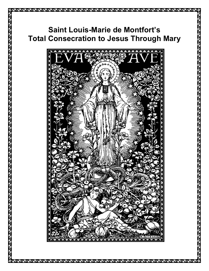# **Saint Louis-Marie de Montfort's Total Consecration to Jesus Through Mary**



સ્ટ્રિટ ક્રિટ ક્રિટ ક્રિટ ક્રિટ ક્રિટ ક્રિટ ક્રિટ ક્રિટ ક્રિટ ક્રિટ ક્રિટ ક્રિટ ક્રિટ ક્રિટ ક્રિટ ક્રિટ ક્રિટ ક<br>પ્રોટ ક્રિટ ક્રિટ ક્રિટ ક્રિટ ક્રિટ ક્રિટ ક્રિટ ક્રિટ ક્રિટ ક્રિટ ક્રિટ ક્રિટ ક્રિટ ક્રિટ ક્રિટ ક્રિટ ક્રિટ ક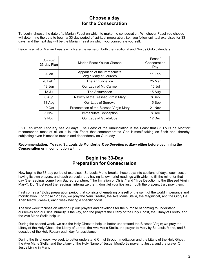### **Choose a day for the Consecration**

To begin, choose the date of a Marian Feast on which to make the consecration. Whichever Feast you choose will determine the date to begin a 33-day period of spiritual preparation, i.e., you follow spiritual exercises for 33 days, and the next day will be the Marian Feast on which you consecrate yourself.

| Start of<br>33-day Plan | Marian Feast You've Chosen                             | Feast /<br>Consecration<br>Day |
|-------------------------|--------------------------------------------------------|--------------------------------|
| 9 Jan                   | Apparition of the Immaculate<br>Virgin Mary at Lourdes | 11 Feb                         |
| 20 Feb $1$              | The Annunciation                                       | 25 Mar                         |
| $13$ Jun                | Our Lady of Mt. Carmel                                 | 16 Jul                         |
| 13 Jul                  | The Assumption                                         | 15 Aug                         |
| 6 Aug                   | Nativity of the Blessed Virgin Mary                    | 8 Sep                          |
| 13 Aug                  | Our Lady of Sorrows                                    | 15 Sep                         |
| 19 Oct                  | Presentation of the Blessed Virgin Mary                | 21 Nov                         |
| 5 Nov                   | <b>Immaculate Conception</b>                           | 8 Dec                          |
| 9 Nov                   | Our Lady of Guadalupe                                  | 12 Dec                         |

Below is a list of Marian Feasts which are the same on both the traditional and Novus Ordo calendars:

 $1$  21 Feb when February has 29 days. The Feast of the Annunciation is the Feast that St. Louis de Montfort recommends most of all as it is this Feast that commemorates God Himself taking on flesh and, thereby, subjecting even Himself to trust in and dependency on Our Lady

**Recommendation: To read St. Louis de Montfort's** *True Devotion to Mary* **either before beginning the Consecration or in conjunction with it.** 

### **Begin the 33-Day Preparation for Consecration**

Now begins the 33-day period of exercises. St. Louis-Marie breaks these days into sections of days, each section having its own prayers, and each particular day having its own brief readings with which to fill the mind for that day (the readings come from Sacred Scripture, "The Imitation of Christ," and "True Devotion to the Blessed Virgin Mary"). Don't just read the readings, internalize them; don't let your lips just mouth the prayers, truly pray them.

First comes a 12-day preparation period that consists of emptying oneself of the spirit of the world in penance and mortification. For those 12 days, we pray the Veni Creator, the Ave Maris Stella, the Magnificat, and the Glory Be. Then follow 3 weeks, each week having a specific focus.

The first week focuses on offering up our prayers and devotions for the purpose of coming to understand ourselves and our sins; humility is the key, and the prayers the Litany of the Holy Ghost, the Litany of Loreto, and the Ave Maris Stella help us.

During the second week, we ask the Holy Ghost to help us better understand the Blessed Virgin; we pray the Litany of the Holy Ghost, the Litany of Loreto, the Ave Maris Stellis, the prayer to Mary by St. Louis-Marie, and 5 decades of the Holy Rosary each day for assistance.

During the third week, we seek to better understand Christ through meditation and the Litany of the Holy Ghost, the Ave Maris Stella, and the Litany of the Holy Name of Jesus, Montfort's prayer to Jesus, and the prayer O Jesus Living in Mary.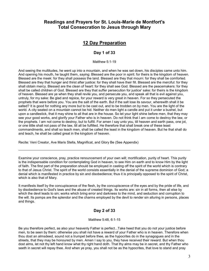# **Readings and Prayers for St. Louis-Marie de Montfort's Total Consecration to Jesus through Mary**

# **12 Day Preparation**

### **Day 1 of 33**

Matthew 5:1-19

And seeing the multitudes, he went up into a mountain, and when he was set down, his disciples came unto him. And opening his mouth, he taught them, saying: Blessed are the poor in spirit: for theirs is the kingdom of heaven. Blessed are the meek: for they shall possess the land. Blessed are they that mourn: for they shall be comforted. Blessed are they that hunger and thirst after justice: for they shall have their fill. Blessed are the merciful: for they shall obtain mercy. Blessed are the clean of heart: for they shall see God. Blessed are the peacemakers: for they shall be called children of God. Blessed are they that suffer persecution for justice' sake: for theirs is the kingdom of heaven. Blessed are ye when they shall revile you, and persecute you, and speak all that is evil against you, untruly, for my sake: Be glad and rejoice, for your reward is very great in heaven. For so they persecuted the prophets that were before you. You are the salt of the earth. But if the salt lose its savour, wherewith shall it be salted? It is good for nothing any more but to be cast out, and to be trodden on by men. You are the light of the world. A city seated on a mountain cannot be hid. Neither do men light a candle and put it under a bushel, but upon a candlestick, that it may shine to all that are in the house. So let your light shine before men, that they may see your good works, and glorify your Father who is in heaven. Do not think that I am come to destroy the law, or the prophets. I am not come to destroy, but to fulfill. For amen I say unto you, till heaven and earth pass, one jot, or one tittle shall not pass of the law, till all be fulfilled. He therefore that shall break one of these least commandments, and shall so teach men, shall be called the least in the kingdom of heaven. But he that shall do and teach, he shall be called great in the kingdom of heaven.

Recite: Veni Creator, Ave Maris Stella, Magnificat, and Glory Be (See Appendix)

Examine your conscience, pray, practice renouncement of your own will; mortification, purity of heart. This purity is the indispensable condition for contemplating God in heaven, to see Him on earth and to know Him by the light of faith. The first part of the preparation should be employed in casting off the spirit of the world which is contrary to that of Jesus Christ. The spirit of the world consists essentially in the denial of the supreme dominion of God; a denial which is manifested in practice by sin and disobedience; thus it is principally opposed to the spirit of Christ, which is also that of Mary.

It manifests itself by the concupiscence of the flesh, by the concupiscence of the eyes and by the pride of life, and by disobedience to God's laws and the abuse of created things. Its works are: sin in all forms, then all else by which the devil leads to sin; works which bring error and darkness to the mind, and seduction and corruption to the will. Its pomps are the splendor and the charms employed by the devil to render sin alluring in persons, places and things.

# **Day 2 of 33**

#### Matthew 5:48, 6:1-15

Be you therefore perfect, as also your heavenly Father is perfect...Take heed that you do not your justice before men, to be seen by them: otherwise you shall not have a reward of your Father who is in heaven. Therefore when thou dost an almsdeed, sound not a trumpet before thee, as the hypocrites do in the synagogues and in the streets, that they may be honoured by men. Amen I say to you, they have received their reward. But when thou dost alms, let not thy left hand know what thy right hand doth. That thy alms may be in secret, and thy Father who seeth in secret will repay thee. And when ye pray, you shall not be as the hypocrites, that love to stand and pray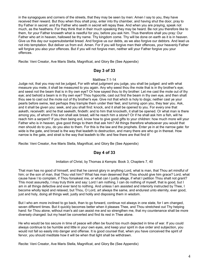in the synagogues and corners of the streets, that they may be seen by men: Amen I say to you, they have received their reward. But thou when thou shalt pray, enter into thy chamber, and having shut the door, pray to thy Father in secret: and thy Father who seeth in secret will repay thee. And when you are praying, speak not much, as the heathens. For they think that in their much speaking they may be heard. Be not you therefore like to them, for your Father knoweth what is needful for you, before you ask him. Thus therefore shall you pray: Our Father who art in heaven, hallowed be thy name. Thy kingdom come. Thy will be done on earth as it is in heaven. Give us this day our supersubstantial bread. And forgive us our debts, as we also forgive our debtors. And lead us not into temptation. But deliver us from evil. Amen. For if you will forgive men their offences, your heavenly Father will forgive you also your offences. But if you will not forgive men, neither will your Father forgive you your offences.

Recite: Veni Creator, Ave Maris Stella, Magnificat, and Glory Be (See Appendix)

### **Day 3 of 33**

Matthew 7:1-14

Judge not, that you may not be judged, For with what judgment you judge, you shall be judged: and with what measure you mete, it shall be measured to you again. Any why seest thou the mote that is in thy brother's eye; and seest not the beam that is in thy own eye? Or how sayest thou to thy brother: Let me cast the mote out of thy eye; and behold a beam is in thy own eye? Thou hypocrite, cast out first the beam in thy own eye, and then shalt thou see to cast out the mote out of thy brother's eye. Give not that which is holy to dogs; neither cast ye your pearls before swine, lest perhaps they trample them under their feet, and turning upon you, they tear you. Ask, and it shall be given you: seek, and you shall find: knock, and it shall be opened to you. For every one that asketh, receiveth: and he that seeketh, findeth: and to him that knocketh, it shall be opened. Or what man is there among you, of whom if his son shall ask bread, will he reach him a stone? Or if he shall ask him a fish, will he reach him a serpent? If you then being evil, know how to give good gifts to your children: how much more will your Father who is in heaven, give good things to them that ask him? All things therefore whatsoever you would that men should do to you, do you also to them. For this is the law and the prophets. Enter ye in at the narrow gate: for wide is the gate, and broad is the way that leadeth to destruction, and many there are who go in thereat. How narrow is the gate, and strait is the way that leadeth to life: and few there are that find it!

Recite: Veni Creator, Ave Maris Stella, Magnificat, and Glory Be (See Appendix)

### **Day 4 of 33**

#### Imitation of Christ, by Thomas á Kempis: Book 3, Chapters 7, 40

That man has no good of himself, and that he cannot glory in anything Lord, what is man, that Thou art mindful of him; or the son of man, that Thou visit him? What has man deserved that Thou should give him grace? Lord, what cause have I to complain, if Thou forsakest me, or what can I justly allege, if what I petition Thou shalt not grant? This most assuredly, I may truly think and say: Lord I am nothing, I can do nothing of myself, that is good, but I am in all things defective and ever tend to nothing. And unless I am assisted and interiorly instructed by Thee, I become wholly tepid and relaxed, but Thou, O Lord, art always the same, and endurest unto eternity, ever good, just and holy, doing all things well, justly and holily and disposing them in wisdom.

But I who am more inclined to go back, than to go forward, continue not always in one state, for I am changed, seven different times. But it quickly becomes better when it pleases Thee, and Thou stretchest out Thy helping hand: for Thou alone, without man's aid can assist me and so strengthen me, that my countenance shall be more diversely changed: but my heart be converted and find its rest in Thee alone.

He who would be too secure in time of peace will often be found too much dejected in time of war. If you could always continue to be humble and little in your own eyes, and keep your spirit in due order and subjection, you would not fall so easily into danger and offense. It is good counsel that, when you have conceived the spirit of fervor, you should meditate how it will be when that light shall be withdrawn.

Recite: Veni Creator, Ave Maris Stella, Magnificat, and Glory Be (See Appendix)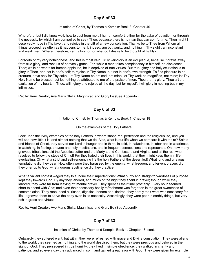### **Day 5 of 33**

#### Imitation of Christ, by Thomas á Kempis: Book 3, Chapter 40

Wherefore, but I did know well, how to cast from me all human comfort, either for the sake of devotion, or through the necessity by which I am compelled to seek Thee, because there is no man that can comfort me. Then might I deservedly hope in Thy favor, and rejoice in the gift of a new consolation. Thanks be to Thee from Whom all things proceed, as often as it happens to me. I, indeed, am but vanity, and nothing in Thy sight , an inconstant and weak man. Where, therefore, can I glory, or for what do I desire to be thought of highly?

Forsooth of my very nothingness; and this is most vain. Truly vainglory is an evil plague, because it draws away from true glory, and robs us of heavenly grace. For, while a man takes complacency in himself, he displeases Thee; while he wants for human applause, he is deprived of true virtues. But true, glory and holy exultation is to glory in Thee, and not in one's self; to rejoice in Thy Name, but not in one's own strength. To find pleasure in no creature, save only for Thy sake. Let Thy Name be praised, not mine; let Thy work be magnified, not mine; let Thy Holy Name be blessed, but let nothing be attributed to me of the praise of men. Thou art my glory; Thou art the exultation of my heart; in Thee, will I glory and rejoice all the day; but for myself, I will glory in nothing but in my infirmities.

Recite: Veni Creator, Ave Maris Stella, Magnificat, and Glory Be (See Appendix)

### **Day 6 of 33**

Imitation of Christ, by Thomas á Kempis: Book 1, Chapter 18

On the examples of the Holy Fathers.

Look upon the lively examples of the holy Fathers in whom shone real perfection and the religious life, and you will see how little it is, and almost nothing that we do. Alas, what is our life when we compare it with theirs? Saints and friends of Christ, they served our Lord in hunger and in thirst, in cold, in nakedness, in labor and in weariness, in watching, in fasting, prayers and holy meditations, and in frequent persecutions and reproaches. Oh, how many grievous tribulations did the Apostles suffer and the Martyrs and Confessors and Virgins, and all the rest who resolved to follow the steps of Christ! For they hated their lives in this world, that they might keep them in life everlasting. Oh what a strict and self-renouncing life the holy Fathers of the desert led! What long and grievous temptations did they bear! How often were they harassed by the enemy, what frequent and fervent prayers did they offer up to God, what rigorous abstinence did they practice!

What a valiant contest waged they to subdue their imperfections! What purity and straightforwardness of purpose kept they towards God! By day they labored, and much of the night they spent in prayer; though while they labored, they were far from leaving off mental prayer. They spent all their time profitably. Every hour seemed short to spend with God; and even their necessary bodily refreshment was forgotten in the great sweetness of contemplation. They renounced all riches, dignities, honors and kindred; they hardly took what was necessary for life. It grieved them to serve the body even in its necessity. Accordingly, they were poor in earthly things, but very rich in grace and virtues.

Recite: Veni Creator, Ave Maris Stella, Magnificat, and Glory Be (See Appendix)

### **Day 7 of 33**

#### Imitation of Christ, by Thomas á Kempis: Book 1, Chapter 18, cont.

Outwardly they suffered want, but within they were refreshed with grace and Divine consolation. They were aliens to the world; they seemed as nothing and the world despised them; but they were precious and beloved in the sight of God. They persevered in true humility, they lived in simple obedience, they walked in charity and patience, and so every day they advanced in spirit and gained great favor with God. They were given for example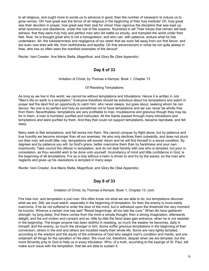to all religious, and ought more to excite us to advance in good, than the number of lukewarm to induce us to grow remiss. Oh! how great was the fervor of all religious in the beginning of their holy institute! Oh, how great was their devotion in prayer, how great was their zeal for virtue! How vigorous the discipline that was kept up, what reverence and obedience, under the rule of the superior, flourished in all! Their traces that remain still bear witness, that they were truly holy and perfect men who did battle so stoutly, and trampled the world under their feet. Now, he is thought great who is not a transgressor; and who can, with patience, endure what he has undertaken. Ah, the lukewarmness and negligence of our state! that we soon fall away from our first fervor, and are even now tired with life, from slothfulness and tepidity. Oh that advancement in virtue be not quite asleep in thee, who has so often seen the manifold examples of the devout!

Recite: Veni Creator, Ave Maris Stella, Magnificat, and Glory Be (See Appendix)

### **Day 8 of 33**

Imitation of Christ, by Thomas á Kempis: Book 1, Chapter 13

Of Resisting Temptations

As long as we live in this world, we cannot be without temptations and tribulations. Hence it is written in Job "Man's life on earth is a temptation." Everyone therefore should be solicitous about his temptations and watch in prayer lest the devil find an opportunity to catch him: who never sleeps, but goes about, seeking whom he can devour. No one is so perfect and holy as sometimes not to have temptations and we can never be wholly free from them. Nevertheless, temptations are very profitable to man, troublesome and grievous though they may be, for in them, a man is humbled, purified and instructed. All the Saints passed through many tribulations and temptations and were purified by them. And they that could not support temptations, became reprobate, and fell away.

Many seek to flee temptations, and fall worse into them. We cannot conquer by flight alone, but by patience and true humility we become stronger than all our enemies. He who only declines them outwardly, and does not pluck out their root, will profit little; nay, temptations will sooner return and he will find himself in a worse condition. By degrees and by patience you will, by God's grace, better overcome them than by harshness and your own importunity. Take council the oftener in temptation, and do not deal harshly with one who is tempted; but pour in consolation, as thou wouldst wish to be done unto yourself. Inconstancy of mind and little confidence in God, is the beginning of all temptations. For as a ship without a helm is driven to and fro by the waves, so the man who neglects and gives up his resolutions is tempted in many ways.

Recite: Veni Creator, Ave Maris Stella, Magnificat, and Glory Be (See Appendix)

### **Day 9 of 33**

Imitation of Christ, by Thomas á Kempis: Book 1, Chapter 13, cont.

Fire tries iron, and temptation a just man. We often know not what we are able to do, but temptations discover what we are. Still, we must watch, especially in the beginning of temptation; for then the enemy is more easily overcome, if he be not suffered to enter the door of the mind, but is withstood upon the threshold the very moment he knocks. Whence a certain one has said "Resist beginnings; all too late the cure." When ills have gathered strength, by long delay, first there comes from the mind a simple thought; then a strong imagination, afterwards delight, and the evil motion and consent and so, little by little the fiend does gain entrance, when he is not resisted in the beginning. The longer anyone has been slothful in resisting, so much the weaker he becomes, daily in himself, and the enemy, so much the stronger in him. Some suffer grievous temptations in the beginning of their conversion, others in the end and others are troubled nearly their whole life. Some are very lightly tempted, according to the wisdom and the equity of the ordinance of God who weighs man's condition and merits, and preordaineth all things for the salvation of His elect. We must not, therefore, despair when we are tempted, but the more fervently pray to God to help us in every tribulation: Who, of a truth, according to the sayings of St. Paul, will make such issue with the temptation, that we are able to sustain it.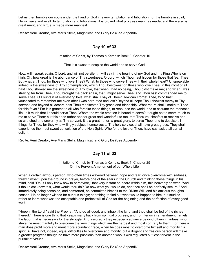Let us then humble our souls under the hand of God in every temptation and tribulation, for the humble in spirit, He will save and exalt. In temptation and tribulations, it is proved what progress man has made; and there also is great merit, and virtue is made more manifest.

Recite: Veni Creator, Ave Maris Stella, Magnificat, and Glory Be (See Appendix)

### **Day 10 of 33**

Imitation of Christ, by Thomas á Kempis: Book 3, Chapter 10

That it is sweet to despise the world and to serve God

Now, will I speak again, O Lord, and will not be silent, I will say in the hearing of my God and my King Who is on high: Oh, how great is the abundance of Thy sweetness, O Lord, which Thou hast hidden for those that fear Thee! But what art Thou, for those who love Thee? What, to those who serve Thee with their whole heart? Unspeakable indeed is the sweetness of Thy contemplation, which Thou bestowest on those who love Thee. In this most of all hast Thou showed me the sweetness of Thy love, that when I had no being, Thou didst make me; and when I was straying far from Thee, Thou brought me back again, that I might serve Thee: and Thou hast commanded me to serve Thee. O Fountain of everlasting love, what shall I say of Thee? How can I forget Thee, Who hast vouchsafed to remember me even after I was corrupted and lost? Beyond all hope Thou showest mercy to Thy servant; and beyond all desert, hast Thou manifested Thy grace and friendship. What return shall I make to Thee for this favor? For it is granted to all who forsake these things, to renounce the world, and to assume the monastic life. Is it much that I should serve Thee, Whom the whole creation is bound to serve? It ought not to seem much to me to serve Thee; but this does rather appear great and wonderful to me, that Thou vouchsafest to receive one so wretched and unworthy as Thy servant. It is a great honor, a great glory, to serve Thee, and to despise all things for Thee, for they who willingly subject themselves to Thy holy service, shall have great grace. They shall experience the most sweet consolation of the Holy Spirit, Who for the love of Thee, have cast aside all carnal delight.

Recite: Veni Creator, Ave Maris Stella, Magnificat, and Glory Be (See Appendix)

# **Day 11 of 33**

Imitation of Christ, by Thomas á Kempis: Book 1, Chapter 25 On the Fervent Amendment of our Whole Life

When a certain anxious person, who often times wavered between hope and fear, once overcome with sadness, threw himself upon the ground in prayer, before one of the altars in the Church and thinking these things in his mind, said "Oh, if I only knew how to persevere," that very instant he heard within him, this heavenly answer: "And if thou didst know this, what would thou do? Do now what you would do, and thou shall be perfectly secure." And immediately being consoled, and comforted, he committed himself to the Divine Will, and his anxious thoughts ceased. He no longer wished for curious things; searching to find out what would happen to him, but studied rather to learn what was the acceptable and perfect will of God for the beginning and the perfection of every good work.

"Hope in the Lord," said the Prophet, "And do all good, and inhabit the land, and thou shall be fed of the riches thereof." There is one thing that keeps many back from spiritual progress, and from fervor in amendment namely: the labor that is necessary for the struggle. And assuredly they especially advance beyond others in virtues, who strive the most manfully to overcome the very things which are the hardest and most contrary to them. For there a man does profit more and merit more abundant grace, when he does most to overcome himself and mortify his spirit. All have not, indeed, equal difficulties to overcome and mortify, but a diligent and zealous person will make a greater progress though he have more passions than another, who is well regulated but less fervent in the pursuit of virtues.

Recite: Veni Creator, Ave Maris Stella, Magnificat, and Glory Be (See Appendix)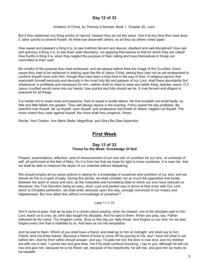### **Day 12 of 33**

Imitation of Christ, by Thomas á Kempis: Book 1, Chapter 25., cont.

But if thou observest any thing worthy of reproof, beware thou do not the same. And if at any time thou hast done it, labor quickly to amend thyself. As thine eye observeth others, so art thou by others noted again.

How sweet and pleasant a thing it is, to see brethren fervent and devout, obedient and well-disciplined! How sad and grievous a thing it is, to see them walk disorderly, not applying themselves to that for which they are called! How hurtful a thing it is, when they neglect the purpose of their calling and busy themselves in things not committed to their care!

Be mindful of the purpose thou hast embraced, and set always before thee the image of the Crucified. Good cause thou hast to be ashamed in looking upon the life of Jesus Christ, seeing thou hast not as yet endeavored to conform thyself more unto Him, though thou hast been a long time in the way of God. A religious person that exercizeth himself seriously and devoutly in the most holy life and passion of our Lord, shall there abundantly find whatsoever is profitable and necessary for him, neither shall he need to seek any better thing, besides Jesus. O if Jesus crucified would come into our hearts, how quickly and fully should we be. A man fervent and diligent is prepared for all things.

It is harder toil to resist vices and passions, than to sweat in bodily labors. He that avoideth not small faults, by little and little falleth into greater. Thou wilt always rejoice in the evening, if thou spend the day profitably. Be watchful over thyself, stir up thyself, warn thyself, and whatsoever becometh of others, neglect not thyself. The more violent thou uses against thyself, the more shalt thou progress. Amen.

Recite: Veni Creator, Ave Maris Stella, Magnificat, and Glory Be (See Appendix)

# **First Week**

### **Day 13 of 33 Theme for the Week: Knowledge Of Self**

Prayers, examinations, reflection, acts of renouncement of our own will, of contrition for our sins, of contempt of self, all performed at the feet of Mary, for it is from her that we hope for light to know ourselves. It is near her, that we shall be able to measure the abyss of our miseries without despairing.

We should employ all our pious actions in asking for a knowledge of ourselves and contrition of our sins: and we should do this in a spirit of piety. During this period, we shall consider not so much the opposition that exists between the spirit of Jesus and ours, as the miserable and humiliating state to which our sins have reduced us. Moreover, the True Devotion being an easy, short, sure and perfect way to arrive at that union with Our Lord which is Christlike perfection, we shall enter seriously upon this way, strongly convinced of our misery and helplessness. But how attain this without a knowledge of ourselves'?

#### Luke 11:1-10

And it came to pass, that as he was in a certain place praying, when he ceased, one of his disciples said to him: Lord, teach us to pray, as John also taught his disciples. And he said to them: When you pray, say: Father, hallowed be thy name. Thy kingdom come. Give us this day our daily bread. And forgive us our sins, for we also forgive every one that is indebted to us. And lead us not into temptation.

And he said to them: Which of you shall have a friend, and shall go to him at midnight, and shall say to him: Friend, lend me three loaves, Because a friend of mine is come off his journey to me, and I have not what to set before him. And he from within should answer, and say: Trouble me not, the door is now shut, and my children are with me in bed; I cannot rise and give thee. Yet if he shall continue knocking, I say to you, although he will not rise and give him, because he is his friend; yet, because of his importunity, he will rise, and give him as many as he needeth.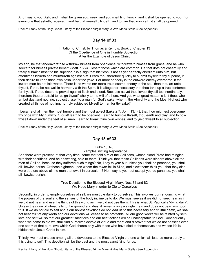And I say to you, Ask, and it shall be given you: seek, and you shall find: knock, and it shall be opened to you. For every one that asketh, receiveth; and he that seeketh, findeth; and to him that knocketh, it shall be opened.

Recite: Litany of the Holy Ghost, Litany of the Blessed Virgin Mary, & Ave Maris Stella (See Appendix)

### **Day 14 of 33**

#### Imitation of Christ, by Thomas á Kempis: Book 3, Chapter 13 Of the Obedience of One in Humble Subjection, After the Example of Jesus Christ

My son, he that endeavoreth to withdraw himself from obedience, withdraweth himself from grace; and he who seeketh for himself private benefit (Matt. 16:24), loseth those which are common. He that doth not cheerfully and freely submit himself to his superior, it is a sign that his flesh is not as yet perfectly obedient unto him, but oftentimes kicketh and murmureth against him. Learn thou therefore quickly to submit thyself to thy superior, if thou desire to keep thine own flesh under the yoke. For more speedily is the outward enemy overcome, if the inward man be not laid waste. There is no worse nor more troublesome enemy to the soul than thou art unto thyself, if thou be not well in harmony with the Spirit. It is altogether necessary that thou take up a true contempt for thyself, if thou desire to prevail against flesh and blood. Because as yet thou lovest thyself too inordinately, therefore thou art afraid to resign thyself wholly to the will of others. And yet, what great matter is it, if thou, who art but dust and nothing, subject thyself to a man for God's sake, when I, the Almighty and the Most Highest who created all things of nothing, humbly subjected Myself to man for thy sake?

I became of all men the most humble and the most abject (Luke 2:7; John 13:14), that thou mightest overcome thy pride with My humility. O dust! learn to be obedient. Learn to humble thyself, thou earth and clay, and to bow thyself down under the feet of all men. Learn to break thine own wishes, and to yield thyself to all subjection.

Recite: Litany of the Holy Ghost, Litany of the Blessed Virgin Mary, & Ave Maris Stella (See Appendix)

### **Day 15 of 33**

#### Luke 13:1-5

#### Examples inviting Repentance

And there were present, at that very time, some that told him of the Galileans, whose blood Pilate had mingled with their sacrifices. And he answering, said to them: Think you that these Galileans were sinners above all the men of Galilee, because they suffered such things? No, I say to you: but unless you shall do penance, you shall all likewise perish. Or those eighteen upon whom the tower fell in Siloe, and slew them: think you, that they also were debtors above all the men that dwelt in Jerusalem? No, I say to you; but except you do penance, you shall all likewise perish.

> True Devotion to the Blessed Virgin Mary, Nos. 81 and 82 We Need Mary in order to Die to Ourselves

Secondly, in order to empty ourselves of self, we must die daily to ourselves. This involves our renouncing what the powers of the soul and the senses of the body incline us to do. We must see as if we did not see, hear as if we did not hear and use the things of this world as if we did not use them. This is what St. Paul calls "dying daily". Unless the grain of wheat falls to the ground and dies, it remains only a single grain and does not bear any good fruit. If we do not die to self and if our holiest devotions do not lead us to this necessary and fruitful death, we shall not bear fruit of any worth and our devotions will cease to be profitable. All our good works will be tainted by selflove and self-will so that our greatest sacrifices and our best actions will be unacceptable to God. Consequently when we come to die we shall find ourselves devoid of virtue and merit and discover that we do not possess even one spark of that pure love which God shares only with those who have died to themselves and whose life is hidden with Jesus Christ in him.

Thirdly, we must choose among all the devotions to the Blessed Virgin the one which will lead us more surely to this dying to self. This devotion will be the best and the most sanctifying for us.

Recite: Litany of the Holy Ghost, Litany of the Blessed Virgin Mary, & Ave Maris Stella (See Appendix)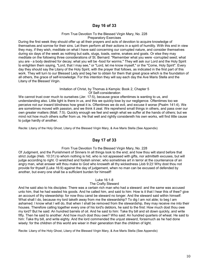### **Day 16 of 33**

#### From True Devotion To the Blessed Virgin Mary, No. 228 Preparatory Exercises

During the first week they should offer up all their prayers and acts of devotion to acquire knowledge of themselves and sorrow for their sins. Let them perform all their actions in a spirit of humility. With this end in view they may, if they wish, meditate on what I have said concerning our corrupted nature, and consider themselves during six days of the week as nothing but sails, slugs, toads, swine, snakes and goats. Or else they may meditate on the following three considerations of St. Bernard: "Remember what you were -corrupted seed; what you are - a body destined for decay; what you will be -food for worms." They will ask our Lord and the Holy Spirit to enlighten them saying, "Lord, that I may see," or "Lord, let me know myself," or the "Come, Holy Spirit". Every day they should say the Litany of the Holy Spirit, with the prayer that follows, as indicated in the first part of this work. They will turn to our Blessed Lady and beg her to obtain for them that great grace which is the foundation of all others, the grace of self-knowledge. For this intention they will say each day the Ave Maris Stella and the Litany of the Blessed Virgin.

#### Imitation of Christ, by Thomas á Kempis: Book 2, Chapter 5 Of Self-consideration

We cannot trust over much to ourselves (Jer. 17:5), because grace oftentimes is wanting to us, and understanding also. Little light is there in us, and this we quickly lose by our negligence. Oftentimes too we perceive not our inward blindness how great it is. Oftentimes we do evil, and excuse it worse (Psalm 141:4). We are sometimes moved with passion, and we think it zeal. We reprehend small things in others, and pass over our own greater matters (Matt. 7:5). Quickly enough we feel and weigh what we suffer at the hands of others; but we mind not how much others suffer from us. He that well and rightly considereth his own works, will find little cause to judge hardly of another.

Recite: Litany of the Holy Ghost, Litany of the Blessed Virgin Mary, & Ave Maris Stella (See Appendix)

### **Day 17 of 33**

#### From True Devotion To the Blessed Virgin Mary, No. 228

Of Judgment, and the Punishment of Sinners In all things look to the end; and how thou wilt stand before that strict Judge (Heb. 10:31) to whom nothing is hid, who is not appeased with gifts, nor admitteth excuses, but will judge according to right. O wretched and foolish sinner, who sometimes art in terror at the countenance of an angry man, what answer wilt thou make to God who knoweth all thy wickedness (Job 9:2)! Why dost thou not provide for thyself (Luke 16:9) against the day of judgement, when no man can be excused of defended by another, but every one shall be a sufficient burden for himself!

#### Luke 16:1-8

#### The Crafty Steward

And he said also to his disciples: There was a certain rich man who had a steward: and the same was accused unto him, that he had wasted his goods. And he called him, and said to him: How is it that I hear this of thee? give an account of thy stewardship: for now thou canst be steward no longer. And the steward said within himself: What shall I do, because my lord taketh away from me the stewardship? To dig I am not able; to beg I am ashamed. I know what I will do, that when I shall be removed from the stewardship, they may receive me into their houses. Therefore calling together every one of his lord's debtors, he said to the first: How much dost thou owe my lord? But he said: An hundred barrels of oil. And he said to him: Take thy bill and sit down quickly, and write fifty. Then he said to another: And how much dost thou owe? Who said: An hundred quarters of wheat. He said to him: Take thy bill, and write eighty. And the lord commended the unjust steward, forasmuch as he had done wisely: for the children of this world are wiser in their generation than the children of light.

Recite: Litany of the Holy Ghost, Litany of the Blessed Virgin Mary, & Ave Maris Stella (See Appendix)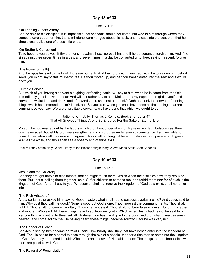### **Day 18 of 33**

#### Luke 17:1-10

#### [On Leading Others Astray]

And he said to his disciples: It is impossible that scandals should not come: but woe to him through whom they come. It were better for him, that a millstone were hanged about his neck, and he cast into the sea, than that he should scandalize one of these little ones.

#### [On Brotherly Correction]

Take heed to yourselves. If thy brother sin against thee, reprove him: and if he do penance, forgive him. And if he sin against thee seven times in a day, and seven times in a day be converted unto thee, saying, I repent; forgive him.

#### [The Power of Faith]

And the apostles said to the Lord: Increase our faith. And the Lord said: If you had faith like to a grain of mustard seed, you might say to this mulberry tree, Be thou rooted up, and be thou transplanted into the sea: and it would obey you.

#### [Humble Service]

But which of you having a servant ploughing, or feeding cattle, will say to him, when he is come from the field: Immediately go, sit down to meat: And will not rather say to him: Make ready my supper, and gird thyself, and serve me, whilst I eat and drink, and afterwards thou shalt eat and drink? Doth he thank that servant, for doing the things which he commanded him? I think not. So you also, when you shall have done all these things that are commanded you, say: We are unprofitable servants; we have done that which we ought to do.

> Imitation of Christ, by Thomas á Kempis: Book 3, Chapter 47 That All Grievous Things Are to Be Endured For the Sake of Eternal Life

My son, be not wearied out by the labors which thou hast undertaken for My sake, nor let tribulation cast thee down ever at all; but let My promise strengthen and comfort thee under every circumstance. I am well able to reward thee, above all measure and degree. Thou shalt not long toil here, nor always be oppressed with griefs. Wait a little while, and thou shalt see a speedy end of thine evils.

Recite: Litany of the Holy Ghost, Litany of the Blessed Virgin Mary, & Ave Maris Stella (See Appendix)

### **Day 19 of 33**

#### Luke 18:15-30

[Jesus and the Children]

And they brought unto him also infants, that he might touch them. Which when the disciples saw, they rebuked them. But Jesus, calling them together, said: Suffer children to come to me, and forbid them not: for of such is the kingdom of God. Amen, I say to you: Whosoever shall not receive the kingdom of God as a child, shall not enter into it.

#### [The Rich Aristocrat]

And a certain ruler asked him, saying: Good master, what shall I do to possess everlasting life? And Jesus said to him: Why dost thou call me good? None is good but God alone. Thou knowest the commandments: Thou shalt not kill: Thou shalt not commit adultery: Thou shalt not steal: Thou shalt not bear false witness: Honour thy father and mother. Who said: All these things have I kept from my youth. Which when Jesus had heard, he said to him: Yet one thing is wanting to thee: sell all whatever thou hast, and give to the poor, and thou shalt have treasure in heaven: and come, follow me. He having heard these things, became sorrowful; for he was very rich.

#### [The Danger of Riches]

And Jesus seeing him become sorrowful, said: How hardly shall they that have riches enter into the kingdom of God. For it is easier for a camel to pass through the eye of a needle, than for a rich man to enter into the kingdom of God. And they that heard it, said: Who then can be saved? He said to them: The things that are impossible with men, are possible with God.

[The Reward of Renunciation]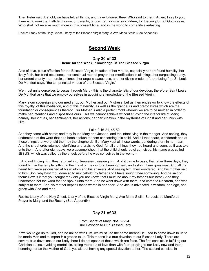Then Peter said: Behold, we have left all things, and have followed thee. Who said to them: Amen, I say to you, there is no man that hath left house, or parents, or brethren, or wife, or children, for the kingdom of God's sake, Who shall not receive much more in this present time, and in the world to come life everlasting.

Recite: Litany of the Holy Ghost, Litany of the Blessed Virgin Mary, & Ave Maris Stella (See Appendix)

# **Second Week**

#### **Day 20 of 33 Theme for the Week: Knowledge Of The Blessed Virgin**

Acts of love, pious affection for the Blessed Virgin, imitation of her virtues, especially her profound humility, her lively faith, her blind obedience, her continual mental prayer, her mortification in all things, her surpassing purity, her ardent charity, her heroic patience, her angelic sweetness, and her divine wisdom: "there being," as St. Louis De Montfort says, "the ten principal virtues of the Blessed Virgin."

We must unite ourselves to Jesus through Mary - this is the characteristic of our devotion; therefore, Saint Louis De Montfort asks that we employ ourselves in acquiring a knowledge of the Blessed Virgin.

Mary is our sovereign and our mediatrix, our Mother and our Mistress. Let us then endeavor to know the effects of this royalty, of this mediation, and of this maternity, as well as the grandeurs and prerogatives which are the foundation or consequences thereof. Our Mother is also a perfect mold wherein we are to be molded in order to make her intentions and dispositions ours. This we cannot achieve without studying the interior life of Mary; namely, her virtues, her sentiments, her actions, her participation in the mysteries of Christ and her union with Him.

#### Luke 2:16-21, 45-52

And they came with haste; and they found Mary and Joseph, and the infant lying in the manger. And seeing, they understood of the word that had been spoken to them concerning this child. And all that heard, wondered; and at those things that were told them by the shepherds. But Mary kept all these words, pondering them in her heart. And the shepherds returned, glorifying and praising God, for all the things they had heard and seen, as it was told unto them. And after eight days were accomplished, that the child should be circumcised, his name was called JESUS, which was called by the angel, before he was conceived in the womb...

...And not finding him, they returned into Jerusalem, seeking him. And it came to pass, that, after three days, they found him in the temple, sitting in the midst of the doctors, hearing them, and asking them questions. And all that heard him were astonished at his wisdom and his answers. And seeing him, they wondered. And his mother said to him: Son, why hast thou done so to us? behold thy father and I have sought thee sorrowing. And he said to them: How is it that you sought me? did you not know, that I must be about my father's business? And they understood not the word that he spoke unto them. And he went down with them, and came to Nazareth, and was subject to them. And his mother kept all these words in her heart. And Jesus advanced in wisdom, and age, and grace with God and men.

Recite: Litany of the Holy Ghost, Litany of the Blessed Virgin Mary, Ave Maris Stella, St. Louis de Montfort's Prayer to Mary, and the Rosary (See Appendix)

### **Day 21 of 33**

#### From Secret of Mary: Nos. 23-24 True Devotion to Our Blessed Lady

If we would go up to God, and be united with Him, we must use the same means He used to come down to us to be made Man and to impart His graces to us. This means is a true devotion to our Blessed Lady. There are several true devotions to our Lady: here I do not speak of those which are false. The first consists in fulfilling our Christian duties, avoiding mortal sin, acting more out of love than with fear, praying to our Lady now and then, honoring her as the Mother of God, yet without having any special devotion to her. The second consists in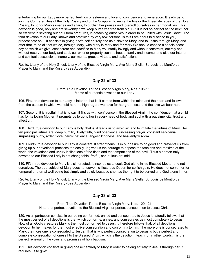entertaining for our Lady more perfect feelings of esteem and love, of confidence and veneration. It leads us to join the Confraternities of the Holy Rosary and of the Scapular, to recite the five or the fifteen decades of the Holy Rosary, to honor Mary's images and altars, to publish her praises and to enroll ourselves in her modalities. This devotion is good, holy and praiseworthy if we keep ourselves free from sin. But it is not so perfect as the next, nor so efficient in severing our soul from creatures, in detaching ourselves in order to be united with Jesus Christ. The third devotion to our Lady, known and practiced by very few persons, is this I am about to disclose to you, predestinate soul. It consists in giving one's self entirely and as a slave to Mary, and to Jesus through Mary, and after that, to do all that we do, through Mary, with Mary in Mary and for Mary We should choose a special feast day on which we give, consecrate and sacrifice to Mary voluntarily lovingly and without constraint, entirely and without reserve: our body and soul, our exterior property such as house, family and income, and also our interior and spiritual possessions: namely, our merits, graces, virtues, and satisfactions.

Recite: Litany of the Holy Ghost, Litany of the Blessed Virgin Mary, Ave Maris Stella, St. Louis de Montfort's Prayer to Mary, and the Rosary (See Appendix)

### **Day 22 of 33**

From True Devotion To the Blessed Virgin Mary, Nos. 106-110 Marks of authentic devotion to our Lady

106. First, true devotion to our Lady is interior, that is, it comes from within the mind and the heart and follows from the esteem in which we hold her, the high regard we have for her greatness, and the love we bear her.

107. Second, it is trustful, that is to say, it fills us with confidence in the Blessed Virgin, the confidence that a child has for its loving Mother. It prompts us to go to her in every need of body and soul with great simplicity, trust and affection.

108. Third, true devotion to our Lady is holy, that is, it leads us to avoid sin and to imitate the virtues of Mary. Her ten principal virtues are: deep humility, lively faith, blind obedience, unceasing prayer, constant self-denial, surpassing purity, ardent love, heroic patience, angelic kindness, and heavenly wisdom.

109. Fourth, true devotion to our Lady is constant. It strengthens us in our desire to do good and prevents us from giving up our devotional practices too easily. It gives us the courage to oppose the fashions and maxims of the world, the vexations and unruly inclinations of the flesh and the temptations of the devil. Thus a person truly devoted to our Blessed Lady is not changeable, fretful, scrupulous or timid.

110. Fifth, true devotion to Mary is disinterested. It inspires us to seek God alone in his Blessed Mother and not ourselves. The true subject of Mary does not serve his illustrious Queen for selfish gain. He does not serve her for temporal or eternal well-being but simply and solely because she has the right to be served and God alone in her.

Recite: Litany of the Holy Ghost, Litany of the Blessed Virgin Mary, Ave Maris Stella, St. Louis de Montfort's Prayer to Mary, and the Rosary (See Appendix)

### **Day 23 of 33**

From True Devotion To the Blessed Virgin Mary, Nos. 120-121 Nature of perfect devotion to the Blessed Virgin or perfect consecration to Jesus Christ

120. As all perfection consists in our being conformed, united and consecrated to Jesus it naturally follows that the most perfect of all devotions is that which conforms, unites, and consecrates us most completely to Jesus. Now of all God's creatures Mary is the most conformed to Jesus. It therefore follows that, of all devotions, devotion to her makes for the most effective consecration and conformity to him. The more one is consecrated to Mary, the more one is consecrated to Jesus. That is why perfect consecration to Jesus is but a perfect and complete consecration of oneself to the Blessed Virgin, which is the devotion I teach; or in other words, it is the perfect renewal of the vows and promises of holy baptism.

121. This devotion consists in giving oneself entirely to Mary in order to belong entirely to Jesus through her. It requires us to give: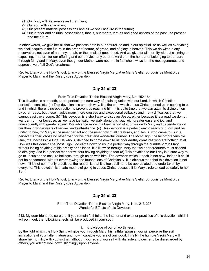- (1) Our body with its senses and members;
- (2) Our soul with its faculties;
- (3) Our present material possessions and all we shall acquire in the future;
- (4) Our interior and spiritual possessions, that is, our merits, virtues and good actions of the past, the present and the future.

In other words, we give her all that we possess both in our natural life and in our spiritual life as well as everything we shall acquire in the future in the order of nature, of grace, and of glory in heaven. This we do without any reservation, not even of a penny, a hair, or the smallest good deed. And we give for all eternity without claiming or expecting, in return for our offering and our service, any other reward than the honour of belonging to our Lord through Mary and in Mary, even though our Mother were not - as in fact she always is - the most generous and appreciative of all God's creatures.

Recite: Litany of the Holy Ghost, Litany of the Blessed Virgin Mary, Ave Maris Stella, St. Louis de Montfort's Prayer to Mary, and the Rosary (See Appendix)

### **Day 24 of 33**

#### From True Devotion To the Blessed Virgin Mary, No. 152-164

This devotion is a smooth, short, perfect and sure way of attaining union with our Lord, in which Christian perfection consists. (a) This devotion is a smooth way. It is the path which Jesus Christ opened up in coming to us and in which there is no obstruction to prevent us reaching him. It is quite true that we can attain to divine union by other roads, but these involve many more crosses and exceptional setbacks and many difficulties that we cannot easily overcome. (b) This devotion is a short way to discover Jesus, either because it is a road we do not wander from, or because, as we have just said, we walk along this road with greater ease and joy, and consequently with greater speed. We advance more in a brief period of submission to Mary and dependence on her than in whole years of self-will and self-reliance. (c) This devotion is a perfect way to reach our Lord and be united to him, for Mary is the most perfect and the most holy of all creatures, and Jesus, who came to us in a perfect manner, chose no other road for his great and wonderful journey. The Most High, the Incomprehensible One, the Inaccessible One, He who is, deigned to come down to us poor earthly creatures who are nothing at all. How was this done? The Most High God came down to us in a perfect way through the humble Virgin Mary, without losing anything of his divinity or holiness. It is likewise through Mary that we poor creatures must ascend to almighty God in a perfect manner without having anything to fear.(d) This devotion to our Lady is a sure way to go to Jesus and to acquire holiness through union with him. The devotion which I teach is not new. Indeed it could not be condemned without overthrowing the foundations of Christianity. It is obvious then that this devotion is not new. If it is not commonly practised, the reason is that it is too sublime to be appreciated and undertaken by everyone. This devotion is a safe means of going to Jesus Christ, because it is Mary's role to lead us safely to her Son.

Recite: Litany of the Holy Ghost, Litany of the Blessed Virgin Mary, Ave Maris Stella, St. Louis de Montfort's Prayer to Mary, and the Rosary (See Appendix)

### **Day 25 of 33**

From True Devotion To the Blessed Virgin Mary, Nos. 213-225 Wonderful Effects of this Devotion

213. My dear friend, be sure that if you remain faithful to the interior and exterior practices of this devotion which I will point out, the following effects will be produced in your soul:

#### 1. Knowledge of our unworthiness:

By the light which the Holy Spirit will give you through Mary, his faithful spouse, you will perceive the evil inclinations of your fallen nature and how incapable you are of any good. Finally, the humble Virgin Mary will share her humility with you so that, although you regard yourself with distaste and desire to be disregarded by others, you will not look down slightingly upon anyone.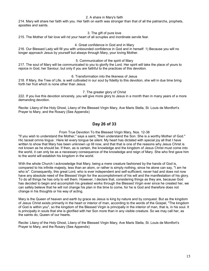#### 2. A share in Mary's faith

214. Mary will share her faith with you. Her faith on earth was stronger than that of all the patriarchs, prophets, apostles and saints.

#### 3. The gift of pure love

215. The Mother of fair love will rid your heart of all scruples and inordinate servile fear.

#### 4. Great confidence in God and in Mary

216. Our Blessed Lady will fill you with unbounded confidence in God and in herself: 1) Because you will no longer approach Jesus by yourself but always through Mary, your loving Mother.

#### 5. Communication of the spirit of Mary

217. The soul of Mary will be communicated to you to glorify the Lord. Her spirit will take the place of yours to rejoice in God, her Saviour, but only if you are faithful to the practices of this devotion.

#### 6. Transformation into the likeness of Jesus

218. If Mary, the Tree of Life, is well cultivated in our soul by fidelity to this devotion, she will in due time bring forth her fruit which is none other than Jesus.

#### 7. The greater glory of Christ

222. If you live this devotion sincerely, you will give more glory to Jesus in a month than in many years of a more demanding devotion.

Recite: Litany of the Holy Ghost, Litany of the Blessed Virgin Mary, Ave Maris Stella, St. Louis de Montfort's Prayer to Mary, and the Rosary (See Appendix)

### **Day 26 of 33**

#### From True Devotion To the Blessed Virgin Mary, Nos. 12-38

"If you wish to understand the Mother," says a saint, "then understand the Son. She is a worthy Mother of God." Hic taceat omnis lingua : Here let every tongue be silent. My heart has dictated with special joy all that I have written to show that Mary has been unknown up till now, and that that is one of the reasons why Jesus Christ is not known as he should be. If then, as is certain, the knowledge and the kingdom of Jesus Christ must come into the world, it can only be as a necessary consequence of the knowledge and reign of Mary. She who first gave him to the world will establish his kingdom in the world.

With the whole Church I acknowledge that Mary, being a mere creature fashioned by the hands of God is, compared to his infinite majesty, less than an atom, or rather is simply nothing, since he alone can say, "I am he who is". Consequently, this great Lord, who is ever independent and self-sufficient, never had and does not now have any absolute need of the Blessed Virgin for the accomplishment of his will and the manifestation of his glory. To do all things he has only to will them. However, I declare that, considering things as they are, because God has decided to begin and accomplish his greatest works through the Blessed Virgin ever since he created her, we can safely believe that he will not change his plan in the time to come, for he is God and therefore does not change in his thoughts or his way of acting.

Mary is the Queen of heaven and earth by grace as Jesus is king by nature and by conquest. But as the kingdom of Jesus Christ exists primarily in the heart or interior of man, according to the words of the Gospel, "The kingdom of God is within you", so the kingdom of the Blessed Virgin is principally in the interior of man, that is, in his soul. It is principally in souls that she is glorified with her Son more than in any visible creature. So we may call her, as the saints do, Queen of our hearts.

Recite: Litany of the Holy Ghost, Litany of the Blessed Virgin Mary, Ave Maris Stella, St. Louis de Montfort's Prayer to Mary, and the Rosary (See Appendix)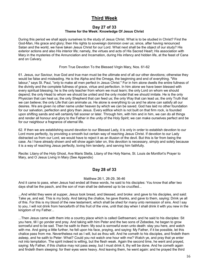# **Third Week**

#### **Day 27 of 33 Theme for the Week: Knowledge Of Jesus Christ**

During this period we shall apply ourselves to the study of Jesus Christ. What is to be studied in Christ? First the God-Man, His grace and glory; then His rights to sovereign dominion over us; since, after having renounced Satan and the world, we have taken Jesus Christ for our Lord. What next shall be the object of our study? His exterior actions and also His interior life; namely, the virtues and acts of His Sacred Heart; His association with Mary in the mysteries of the Annunciation and Incarnation, during His infancy and hidden life, at the feast of Cana and on Calvary.

From True Devotion To the Blessed Virgin Mary, Nos. 61-62

61. Jesus, our Saviour, true God and true man must be the ultimate end of all our other devotions; otherwise they would be false and misleading. He is the Alpha and the Omega, the beginning and end of everything. "We labour," says St. Paul, "only to make all men perfect in Jesus Christ." For in him alone dwells the entire fullness of the divinity and the complete fullness of grace, virtue and perfection. In him alone we have been blessed with every spiritual blessing; he is the only teacher from whom we must learn; the only Lord on whom we should depend; the only Head to whom we should be united and the only model that we should imitate. He is the only Physician that can heal us; the only Shepherd that can feed us; the only Way that can lead us; the only Truth that we can believe; the only Life that can animate us. He alone is everything to us and he alone can satisfy all our desires. We are given no other name under heaven by which we can be saved. God has laid no other foundation for our salvation, perfection and glory than Jesus. Every edifice which is not built on that firm rock, is founded upon shifting sands and will certainly fall sooner or later. Through him, with him and in him, we can do all things and render all honour and glory to the Father in the unity of the Holy Spirit; we can make ourselves perfect and be for our neighbour a fragrance of eternal life.

62. If then we are establishing sound devotion to our Blessed Lady, it is only in order to establish devotion to our Lord more perfectly, by providing a smooth but certain way of reaching Jesus Christ. If devotion to our Lady distracted us from our Lord, we would have to reject it as an illusion of the devil. But this is far from being the case. As I have already shown and will show again later on, this devotion is necessary, simply and solely because it is a way of reaching Jesus perfectly, loving him tenderly, and serving him faithfully.

Recite: Litany of the Holy Ghost, Ave Maris Stella, Litany of the Holy Name, St. Louis de Montfort's Prayer to Mary, and O Jesus Living In Mary (See Appendix)

### **Day 28 of 33**

#### Matthew 26:1, 26-29, 36-46

And it came to pass, when Jesus had ended all these words, he said to his disciples: You know that after two days shall be the pasch, and the son of man shall be delivered up to be crucified...

...And whilst they were at supper, Jesus took bread, and blessed, and broke: and gave to his disciples, and said: Take ye, and eat. This is my body. And taking the chalice, he gave thanks, and gave to them, saying: Drink ye all of this. For this is my blood of the new testament, which shall be shed for many unto remission of sins. And I say to you, I will not drink from henceforth of this fruit of the vine, until that day when I shall drink it with you new in the kingdom of my Father...

...Then Jesus came with them into a country place which is called Gethsemani; and he said to his disciples: Sit you here, till I go yonder and pray. And taking with him Peter and the two sons of Zebedee, he began to grow sorrowful and to be sad. Then he saith to them: My soul is sorrowful even unto death: stay you here, and watch with me. And going a little further, he fell upon his face, praying, and saying: My Father, if it be possible, let this chalice pass from me. Nevertheless not as I will, but as thou wilt. And he cometh to his disciples, and findeth them asleep, and he saith to Peter: What? Could you not watch one hour with me? Watch ye, and pray that ye enter not into temptation. The spirit indeed is willing, but the flesh weak. Again the second time, he went and prayed, saying: My Father, if this chalice may not pass away, but I must drink it, thy will be done. And he cometh again and findeth them sleeping: for their eyes were heavy. And leaving them, he went again: and he prayed the third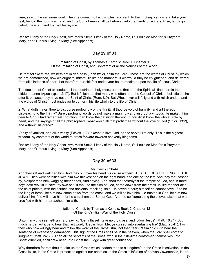time, saying the selfsame word. Then he cometh to his disciples, and saith to them: Sleep ye now and take your rest; behold the hour is at hand, and the Son of man shall be betrayed into the hands of sinners. Rise, let us go: behold he is at hand that will betray me.

Recite: Litany of the Holy Ghost, Ave Maris Stella, Litany of the Holy Name, St. Louis de Montfort's Prayer to Mary, and O Jesus Living In Mary (See Appendix)

### **Day 29 of 33**

#### Imitation of Christ, by Thomas á Kempis: Book 1, Chapter 1 Of the Imitation of Christ, and Contempt of all the Vanities of the World

He that followeth Me, walketh not in darkness (John 8:12), saith the Lord. These are the words of Christ, by which we are admonished, how we ought to imitate His life and manners, if we would truly be enlightened, and delivered from all blindness of heart. Let therefore our chiefest endeavour be, to meditate upon the life of Jesus Christ.

The doctrine of Christ exceedeth all the doctrine of holy men.; and he that hath the Spirit will find therein the hidden manna (Apocalypse. 2:17). But it falleth out that many who often hear the Gospel of Christ, feel little desire after it, because they have not the Spirit of Christ (Rom. 8:9). But Whosoever will fully and with relish understand the words of Christ, must endeavor to conform his life wholly to the life of Christ.

2. What doth it avail thee to discourse profoundly of the Trinity, if thou be void of humility, and art thereby displeasing to the Trinity? Surely profound words do not make a man holy and just; but a virtuous life maketh him dear to God. I had rather feel contrition, than know the definition thereof. If thou didst know the whole Bible by heart, and the sayings of all the philosophers, what would all that profit thee without the love of God (1 Cor. 13:2), and without His grace?

Vanity of vanities, and all is vanity (Eccles. 1:2), except to love God, and to serve Him only. This is the highest wisdom, by contempt of the world to press forward towards heavenly kingdoms.

Recite: Litany of the Holy Ghost, Ave Maris Stella, Litany of the Holy Name, St. Louis de Montfort's Prayer to Mary, and O Jesus Living In Mary (See Appendix)

### **Day 30 of 33**

#### Matthew 27:36-44

And they sat and watched him. And they put over his head his cause written: THIS IS JESUS THE KING OF THE JEWS. Then were crucified with him two thieves: one on the right hand, and one on the left. And they that passed by, blasphemed him, wagging their heads, And saying: Vah, thou that destroyest the temple of God, and in three days dost rebuild it: save thy own self: if thou be the Son of God, come down from the cross. In like manner also the chief priests, with the scribes and ancients, mocking, said: He saved others; himself he cannot save. If he be the king of Israel, let him now come down from the cross, and we will believe him. He trusted in God; let him now deliver him if he will have him; for he said: I am the Son of God. And the selfsame thing the thieves also, that were crucified with him, reproached him with.

> Imitation of Christ, by Thomas á Kempis: Book 2, Chapter 12 Of the King's High Way of the Holy Cross

Unto many this seemeth an hard saying, "Deny thyself, take up thy cross, and follow Jesus" (Matt. 16:24). But much harder will it be to hear that last word, "Depart from Me, ye cursed, into everlasting fire" (Matt. 25:41). For they who now willingly hear and follow the word of the Cross, shall not then fear (Psalm 112:7) to hear the sentence of everlasting damnation. This sign of the Cross shall be in the heaven, when the Lord shall come to judgment (Matt. 24:30). Then all the servants of the Cross, who in their life-time conformed themselves unto Christ crucified, shall draw near unto Christ the Judge with great confidence.

Why therefore fearest thou to take up the Cross which leadeth thee to a kingdom? In the Cross is salvation, in the Cross is life, in the Cross is protection against our enemies, in the Cross is infusion of heavenly sweetness, in the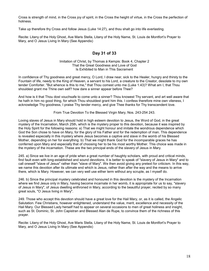Cross is strength of mind, in the Cross joy of spirit, in the Cross the height of virtue, in the Cross the perfection of holiness.

Take up therefore thy Cross and follow Jesus (Luke 14:27), and thou shalt go into life everlasting.

Recite: Litany of the Holy Ghost, Ave Maris Stella, Litany of the Holy Name, St. Louis de Montfort's Prayer to Mary, and O Jesus Living In Mary (See Appendix)

### **Day 31 of 33**

#### Imitation of Christ, by Thomas á Kempis: Book 4, Chapter 2 That the Great Goodness and Love of God Is Exhibited to Man in This Sacrament

In confidence of Thy goodness and great mercy, O Lord, I draw near, sick to the Healer, hungry and thirsty to the Fountain of life, needy to the King of Heaven, a servant to his Lord, a creature to the Creator, desolate to my own tender Comforter. "But whence is this to me," that Thou comest unto me (Luke 1:43)? What am I, that Thou shouldest grant me Thine own self? how dare a sinner appear before Thee?

And how is it that Thou dost vouchsafe to come unto a sinner? Thou knowest Thy servant, and art well aware that he hath in him no good thing, for which Thou shouldest grant him this. I confess therefore mine own vileness, I acknowledge Thy goodness, I praise Thy tender mercy, and give Thee thanks for Thy transcendent love.

From True Devotion To the Blessed Virgin Mary, Nos. 243-254 243.

Loving slaves of Jesus in Mary should hold in high esteem devotion to Jesus, the Word of God, in the great mystery of the Incarnation, March 25th, which is the mystery proper to this devotion, because it was inspired by the Holy Spirit for the following reasons: a) That we might honour and imitate the wondrous dependence which God the Son chose to have on Mary, for the glory of his Father and for the redemption of man. This dependence is revealed especially in this mystery where Jesus becomes a captive and slave in the womb of his Blessed Mother, depending on her for everything. b) That we might thank God for the incomparable graces he has conferred upon Mary and especially that of choosing her to be his most worthy Mother. This choice was made in the mystery of the incarnation. These are the two principal ends of the slavery of Jesus in Mary.

245. a) Since we live in an age of pride when a great number of haughty scholars, with proud and critical minds, find fault even with long-established and sound devotions, it is better to speak of "slavery of Jesus in Mary" and to call oneself "slave of Jesus" rather than "slave of Mary". We then avoid giving any pretext for criticism. In this way, we name this devotion after its ultimate end which is Jesus, rather than after the way and the means to arrive there, which is Mary. However, we can very well use either term without any scruple, as I myself do.

246. b) Since the principal mystery celebrated and honoured in this devotion is the mystery of the Incarnation where we find Jesus only in Mary, having become incarnate in her womb, it is appropriate for us to say, "slavery of Jesus in Mary", of Jesus dwelling enthroned in Mary, according to the beautiful prayer, recited by so many great souls, "O Jesus living in Mary".

249. Those who accept this devotion should have a great love for the Hail Mary, or, as it is called, the Angelic Salutation. Few Christians, however enlightened, understand the value, merit, excellence and necessity of the Hail Mary. Our Blessed Lady herself had to appear on several occasions to men of great holiness and insight, such as St. Dominic, St. John Capistran and Blessed Alan de Rupe, to convince them of the richness of this prayer.

Recite: Litany of the Holy Ghost, Ave Maris Stella, Litany of the Holy Name, St. Louis de Montfort's Prayer to Mary, and O Jesus Living In Mary (See Appendix)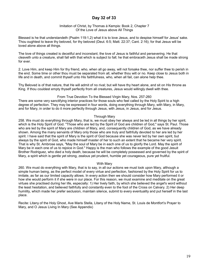### **Day 32 of 33**

#### Imitation of Christ, by Thomas á Kempis: Book 2, Chapter 7 Of the Love of Jesus above All Things

Blessed is he that understandeth (Psalm 119:1,2) what it is to love Jesus, and to despise himself for Jesus' sake. Thou oughtest to leave thy beloved, for thy beloved (Deut. 6:5; Matt. 22:37; Cant. 2:16); for that Jesus will be loved alone above all things.

The love of things created is deceitful and inconstant; the love of Jesus is faithful and persevering. He that cleaveth unto a creature, shall fall with that which is subject to fall; he that embraceth Jesus shall be made strong for ever.

2. Love Him, and keep Him for thy friend, who, when all go away, will not forsake thee, nor suffer thee to perish in the end. Some time or other thou must be separated from all, whether thou wilt or no. Keep close to Jesus both in life and in death, and commit thyself unto His faithfulness, who, when all fail, can alone help thee.

Thy Beloved is of that nature, that He will admit of no rival; but will have thy heart alone, and sit on His throne as King. If thou couldest empty thyself perfectly from all creatures, Jesus would willingly dwell with thee.

#### From True Devotion To the Blessed Virgin Mary, Nos. 257-260

There are some very sanctifying interior practices for those souls who feel called by the Holy Spirit to a high degree of perfection. They may be expressed in four words, doing everything through Mary, with Mary, in Mary, and for Mary, in order to do it more perfectly through Jesus, with Jesus, in Jesus, and for Jesus.

#### Through Mary

258. We must do everything through Mary, that is, we must obey her always and be led in all things by her spirit, which is the Holy Spirit of God. "Those who are led by the Spirit of God are children of God," says St. Paul. Those who are led by the spirit of Mary are children of Mary, and, consequently children of God, as we have already shown. Among the many servants of Mary only those who are truly and faithfully devoted to her are led by her spirit. I have said that the spirit of Mary is the spirit of God because she was never led by her own spirit, but always by the spirit of God, who made himself master of her to such an extent that he became her very spirit. That is why St. Ambrose says, "May the soul of Mary be in each one of us to glorify the Lord. May the spirit of Mary be in each one of us to rejoice in God." Happy is the man who follows the example of the good Jesuit Brother Rodriguez, who died a holy death, because he will be completely possessed and governed by the spirit of Mary, a spirit which is gentle yet strong, zealous yet prudent, humble yet courageous, pure yet fruitful.

#### With Mary

260. We must do everything with Mary, that is to say, in all our actions we must look upon Mary, although a simple human being, as the perfect model of every virtue and perfection, fashioned by the Holy Spirit for us to imitate, as far as our limited capacity allows. In every action then we should consider how Mary performed it or how she would perform it if she were in our place. For this reason, we must examine and meditate on the great virtues she practised during her life, especially: 1) Her lively faith, by which she believed the angel's word without the least hesitation, and believed faithfully and constantly even to the foot of the Cross on Calvary. 2) Her deep humility, which made her prefer seclusion, maintain silence, submit to every eventuality and put herself in the last place.

Recite: Litany of the Holy Ghost, Ave Maris Stella, Litany of the Holy Name, St. Louis de Montfort's Prayer to Mary, and O Jesus Living In Mary (See Appendix)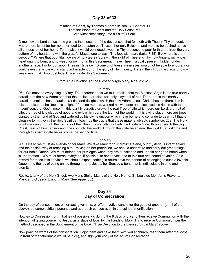# **Day 33 of 33**

#### Imitation of Christ, by Thomas á Kempis: Book 4, Chapter 11 That the Blood of Christ and the Holy Scriptures Are Most Necessary unto a Faithful Soul

O most sweet Lord Jesus, how great is the pleasure of the devout soul that feasteth with Thee in Thy banquet; where there is set for her no other food to be eaten but Thyself, her only Beloved, and most to be desired above all the desires of her heart! To me also it would be indeed sweet, in Thy presence to pour forth tears from the very bottom of my heart, and with the grateful Magdalene to wash Thy feet with tears (Luke 7:38). But where is that devotion? Where that bountiful flowing of holy tears? Surely in the sight of Thee and Thy holy Angels, my whole heart ought to burn, and to weep for joy. For in this Sacrament I have Thee mystically present, hidden under another shape. For to look upon Thee in Thine own Divine brightness, mine eyes would not be able to endure; nor could even the whole world stand in the splendor of the glory of Thy majesty. Herein then Thou hast regard to my weakness, that Thou dost hide Thyself under this Sacrament.

#### From True Devotion To the Blessed Virgin Mary, Nos. 261-265

#### In Mary

261. We must do everything in Mary. To understand this we must realise that the Blessed Virgin is the true earthly paradise of the new Adam and that the ancient paradise was only a symbol of her. There are in this earthly paradise untold riches, beauties, rarities and delights, which the new Adam, Jesus Christ, has left there. It is in this paradise that he "took his delights" for nine months, worked his wonders and displayed his riches with the magnificence of God himself.In this earthly paradise grows the real Tree of Life which bore our Lord, the fruit of Life, the tree of knowledge of good and evil, which bore the Light of the world. In this divine place there are trees planted by the hand of God and watered by his divine unction which have borne and continue to bear fruit that is pleasing to him. Only the Holy Spirit can teach us the truths that these material objects symbolise. 262. The Holy Spirit speaking through the Fathers of the Church, also calls our Lady the Eastern Gate, through which the High Priest, Jesus Christ, enters and goes out into the world. Through this gate he entered the world the first time and through this same gate he will come the second time.

#### For Mary

265. Finally, we must do everything for Mary. We take Mary for our proximate end, our mysterious intermediary and the easiest way of reaching him. Relying on her protection, we should undertake and carry out great things for our noble Queen. We must defend her privileges when they are questioned and uphold her good name when it is under attack. We must attract everyone, if possible, to her service and to this true and sound devotion. As a reward for these little services, we should expect nothing in return save the honour of belonging to such a lovable Queen and the joy of being united through her to Jesus, her Son, by a bond that is indissoluble in time and in eternity.

Recite: Litany of the Holy Ghost, Ave Maris Stella, Litany of the Holy Name, St. Louis de Montfort's Prayer to Mary, and O Jesus Living In Mary (See Appendix)

### **Day 34 Day of Consecration**

On the day of consecration, either fast, give alms, or offer a votive candle for the good of another (or all of the above); do some spiritual penance and approach consecration in the spirit of mortification.

Now go to Confession (or, if that is not possible, go during the 8 days prior) and then receive Communion with the intention of giving yourself to Jesus, as a slave of love, by the hands of Mary. Try to receive Communion per the method described in the Supplement of the book, "True Devotion to the Blessed Virgin Mary" above.

Now pray the words of the consecration. Copy them and have them with you at church, read them after the Mass (in front of the tabernacle would be nice), and sign your copy of the Act of Consecration.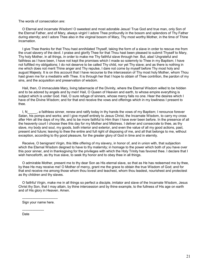The words of consecration are:

 O Eternal and incarnate Wisdom! O sweetest and most adorable Jesus! True God and true man, only Son of the Eternal Father, and of Mary, always virgin! I adore Thee profoundly in the bosom and splendors of Thy Father during eternity; and I adore Thee also in the virginal bosom of Mary, Thy most worthy Mother, in the time of Thine incarnation.

 I give Thee thanks for that Thou hast annihilated Thyself, taking the form of a slave in order to rescue me from the cruel slavery of the devil. I praise and glorify Thee for that Thou hast been pleased to submit Thyself to Mary, Thy holy Mother, in all things, in order to make me Thy faithful slave through her. But, alas! Ungrateful and faithless as I have been, I have not kept the promises which I made so solemnly to Thee in my Baptism; I have not fulfilled my obligations; I do not deserve to be called Thy child, nor yet Thy slave; and as there is nothing in me which does not merit Thine anger and Thy repulse, I dare not come by myself before Thy most holy and august Majesty. It is on this account that I have recourse to the intercession of Thy most holy Mother, whom Thou hast given me for a mediatrix with Thee. It is through her that I hope to obtain of Thee contrition, the pardon of my sins, and the acquisition and preservation of wisdom.

 Hail, then, O immaculate Mary, living tabernacle of the Divinity, where the Eternal Wisdom willed to be hidden and to be adored by angels and by men! Hail, O Queen of Heaven and earth, to whose empire everything is subject which is under God. Hail, O sure refuge of sinners, whose mercy fails no one. Hear the desires which I have of the Divine Wisdom; and for that end receive the vows and offerings which in my lowliness I present to thee.

I, N<sub>3</sub> a faithless sinner, renew and ratify today in thy hands the vows of my Baptism; I renounce forever Satan, his pomps and works; and I give myself entirely to Jesus Christ, the Incarnate Wisdom, to carry my cross after Him all the days of my life, and to be more faithful to Him than I have ever been before. In the presence of all the heavenly court I choose thee this day for my Mother and Mistress. I deliver and consecrate to thee, as thy slave, my body and soul, my goods, both interior and exterior, and even the value of all my good actions, past, present and future; leaving to thee the entire and full right of disposing of me, and all that belongs to me, without exception, according to thy good pleasure, for the greater glory of God in time and in eternity.

 Receive, O benignant Virgin, this little offering of my slavery, in honor of, and in union with, that subjection which the Eternal Wisdom deigned to have to thy maternity; in homage to the power which both of you have over this poor sinner, and in thanksgiving for the privileges with which the Holy Trinity has favored thee. I declare that I wish henceforth, as thy true slave, to seek thy honor and to obey thee in all things.

 O admirable Mother, present me to thy dear Son as His eternal slave, so that as He has redeemed me by thee, by thee He may receive me! O Mother of mercy, grant me the grace to obtain the true Wisdom of God; and for that end receive me among those whom thou lovest and teachest, whom thou leadest, nourishest and protectest as thy children and thy slaves.

 O faithful Virgin, make me in all things so perfect a disciple, imitator and slave of the Incarnate Wisdom, Jesus Christ thy Son, that I may attain, by thine intercession and by thine example, to the fullness of His age on earth and of His glory in Heaven. Amen.

 ------------------------------- Sign your name here.

 ------------------- Date

21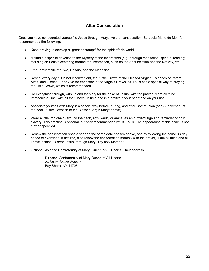### **After Consecration**

Once you have consecrated yourself to Jesus through Mary, live that consecration. St. Louis-Marie de Montfort recommended the following:

- Keep praying to develop a "great contempt" for the spirit of this world
- Maintain a special devotion to the Mystery of the Incarnation (e.g., through meditation; spiritual reading; focusing on Feasts centering around the Incarnation, such as the Annunciation and the Nativity, etc.)
- Frequently recite the Ave, Rosary, and the Magnificat
- Recite, every day if it is not inconvenient, the "Little Crown of the Blessed Virgin" -- a series of Paters, Aves, and Glorias -- one Ave for each star in the Virgin's Crown. St. Louis has a special way of praying the Little Crown, which is recommended.
- Do everything through, with, in and for Mary for the sake of Jesus, with the prayer, "I am all thine Immaculate One, with all that I have: in time and in eternity" in your heart and on your lips
- Associate yourself with Mary in a special way before, during, and after Communion (see Supplement of the book, "True Devotion to the Blessed Virgin Mary" above)
- Wear a little iron chain (around the neck, arm, waist, or ankle) as an outward sign and reminder of holy slavery. This practice is optional, but very recommended by St. Louis. The appearance of this chain is not further specified.
- Renew the consecration once a year on the same date chosen above, and by following the same 33-day period of exercises. If desired, also renew the consecration monthly with the prayer, "I am all thine and all I have is thine, O dear Jesus, through Mary, Thy holy Mother."
- Optional: Join the Confraternity of Mary, Queen of All Hearts. Their address:

Director, Confraternity of Mary Queen of All Hearts 26 South Saxon Avenue Bay Shore, NY 11706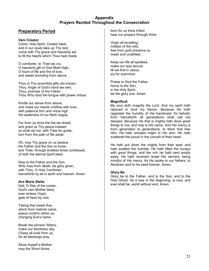### **Appendix Prayers Recited Throughout the Consecration**

### **Preparatory Period**

#### **Veni Creator**

Come, Holy Spirit, Creator blest, and in our souls take up Thy rest; come with Thy grace and heavenly aid to fill the hearts which Thou hast made.

O comforter, to Thee we cry, O heavenly gift of God Most High, O fount of life and fire of love, and sweet anointing from above.

Thou in Thy sevenfold gifts are known; Thou, finger of God's hand we own; Thou, promise of the Father, Thou Who dost the tongue with power imbue.

Kindle our sense from above, and make our hearts o'erflow with love; with patience firm and virtue high the weakness of our flesh supply.

Far from us drive the foe we dread, and grant us Thy peace instead; so shall we not, with Thee for guide, turn from the path of life aside.

Oh, may Thy grace on us bestow the Father and the Son to know; and Thee, through endless times confessed, of both the eternal Spirit blest.

Now to the Father and the Son, Who rose from death, be glory given, with Thou, O Holy Comforter, henceforth by all in earth and heaven. Amen.

#### **Ave Maris Stella**

Hail, O Star of the ocean, God's own Mother blest, ever sinless Virgin, gate of heav'nly rest.

Taking that sweet Ave, which from Gabriel came, peace confirm within us, changing Eve's name.

Break the sinners' fetters, make our blindness day, Chase all evils from us, for all blessings pray.

Show thyself a Mother, may the Word divine

born for us thine Infant hear our prayers through thine.

Virgin all excelling, mildest of the mild, free from guilt preserve us meek and undefiled.

Keep our life all spotless, make our way secure till we find in Jesus, joy for evermore.

Praise to God the Father, honor to the Son, in the Holy Spirit, be the glory one. Amen.

#### **Magnificat**

My soul doth magnify the Lord. And my spirit hath rejoiced in God my Savior. Because He hath regarded the humility of His handmaid; for behold, from henceforth all generations shall call me blessed. Because He that is mighty hath done great things to me; and holy is His name. And His mercy is from generation to generations, to them that fear Him. He hath showed might in His arm; He hath scattered the proud in the conceit of their heart.

He hath put down the mighty from their seat; and hath exalted the humble. He hath filled the hungry with good things; and the rich he hath sent empty away. He hath received Israel His servant, being mindful of His mercy. As He spoke to our fathers, to Abraham and to his seed forever. Amen.

#### **Glory Be**

Glory be to the Father, and to the Son, and to the Holy Ghost. As it was in the beginning, is now, and ever shall be, world without end. Amen.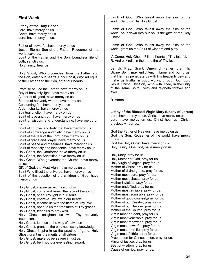### **First Week**

**Litany of the Holy Ghost**  Lord, have mercy on us. Christ, have mercy on us. Lord, have mercy on us.

Father all powerful, have mercy on us Jesus, Eternal Son of the Father, Redeemer of the world, save us. Spirit of the Father and the Son, boundless life of both, sanctify us. Holy Trinity, hear us

Holy Ghost, Who proceedest from the Father and the Son, enter our hearts. Holy Ghost, Who art equal to the Father and the Son, enter our hearts.

Promise of God the Father, have mercy on us. Ray of heavenly light, have mercy on us Author of all good, have mercy on us Source of heavenly water, have mercy on us Consuming fire, have mercy on us Ardent charity, have mercy on us Spiritual unction, have mercy on us Spirit of love and truth, have mercy on us Spirit of wisdom and understanding, have mercy on us

Spirit of counsel and fortitude, have mercy on us Spirit of knowledge and piety, have mercy on us Spirit of the fear of the Lord, have mercy on us Spirit of grace and prayer, have mercy on us Spirit of peace and meekness, have mercy on us Spirit of modesty and innocence, have mercy on us Holy Ghost, the Comforter, have mercy on us Holy Ghost, the Sanctifier, have mercy on us Holy Ghost, Who governest the Church, have mercy on us

Gift of God, the Most High, have mercy on us Spirit Who fillest the universe, have mercy on us Spirit of the adoption of the children of God, have mercy on us

Holy Ghost, inspire us with horror of sin. Holy Ghost, come and renew the face of the earth. Holy Ghost, shed Thy light in our souls. Holy Ghost, engrave Thy law in our hearts Holy Ghost, inflame us with the flame of Thy love. Holy Ghost, open to us the treasures of Thy graces Holy Ghost, teach us to pray well. Holy Ghost, enlighten us with Thy heavenly inspirations. Holy Ghost, lead us in the way of salvation Holy Ghost, grant us the only necessary knowledge. Holy Ghost, inspire in us the practice of good. Holy Ghost, grant us the merits of all virtues. Holy Ghost, make us persevere in justice. Holy Ghost, be Thou our everlasting reward.

Lamb of God, Who takest away the sins of the world, Send us Thy Holy Ghost.

Lamb of God, Who takest away the sins of the world, pour down into our souls the gifts of the Holy Ghost.

Lamb of God, Who takest away the sins of the world, grant us the Spirit of wisdom and piety.

V. Come, Holy Ghost! Fill the hearts of Thy faithful, R. And enkindle in them the fire of Thy love.

Let Us Pray. Grant, Omerciful Father, that Thy Divine Spirit may enlighten, inflame and purify us, that He may penetrate us with His heavenly dew and make us fruitful in good works, through Our Lord Jesus Christ, Thy Son, Who with Thee, in the unity of the same Spirit, liveth and reigneth forever and ever.

R. Amen.

#### **Litany of the Blessed Virgin Mary (Litany of Loreto)**

Lord, have mercy on us, Christ have mercy on us. Lord, have mercy on us. Christ hear us. Christ, graciously hear us.

God the Father of Heaven, have mercy on us. God the Son, Redeemer of the world, have mercy on us God the Holy Ghost, have mercy on us.

Holy Trinity, One God, have mercy on us.

Holy Mary, pray for us Holy Mother of God, pray for us. Holy Virgin of virgins, pray for us. Mother of Christ, pray for us. Mother of divine grace, pray for us. Mother most pure, pray for us. Mother most chaste, pray for us. Mother inviolate, pray for us. Mother undefiled, pray for us. Mother most amiable, pray for us. Mother most admirable, pray for us. Mother of good counsel,pray for us. Mother of our Creator, pray for us. Mother of our Saviour, pray for us. Mother of the Church, pray for us. Virgin most prudent, pray for us. Virgin most venerable, pray for us. Virgin most renowned, pray for us. Virgin most powerful, pray for us. Virgin most merciful, pray for us. Virgin most faithful, pray for us. Preparation for Consecration, pray for us. Mirror of justice, pray for us. Seat of wisdom, pray for us. Cause of our joy, pray for us.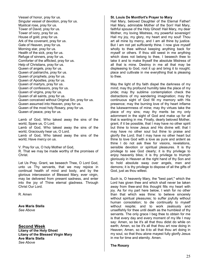Vessel of honor, pray for us. Singular vessel of devotion, pray for us. Mystical rose, pray for us. Tower of David, pray for us. Tower of ivory, pray for us. House of gold, pray for us. Ark of the covenant, pray for us. Gate of Heaven, pray for us. Morning star, pray for us. Health of the sick, pray for us. Refuge of sinners, pray for us. Comforter of the afflicted, pray for us. Help of Christians, pray for us. Queen of angels, pray for us. Queen of patriarchs, pray for us. Queen of prophets, pray for us. Queen of Apostles, pray for us. Queen of martyrs, pray for us. Queen of confessors, pray for us. Queen of virgins, pray for us. Queen of all saints, pray for us. Queen conceived without Original Sin, pray for us. Queen assumed into Heaven, pray for us. Queen of the most holy Rosary, pray for us. Queen of peace, pray for us.

Lamb of God, Who takest away the sins of the world, Spare us, O Lord. Lamb of God, Who takest away the sins of the world, Graciously hear us, O Lord. Lamb of God, Who takest away the sins of the world, Have mercy on us.

V. Pray for us, O holy Mother of God,

R. That we may be made worthy of the promises of Christ.

Let Us Pray. Grant, we beseech Thee, O Lord God, unto us Thy servants, that we may rejoice in continual health of mind and body, and by the glorious intercession of Blessed Mary, ever virgin, may be delivered from present sadness, and enter into the joy of Thine eternal gladness. Through Christ Our Lord.

R. Amen

**Ave Maris Stella**  *See Above* 

**Second Week**

**Litany of the Holy Ghost Litany of the Blessed Virgin Mary Ave Maris Stella**  *See Above* 

#### **St. Louis De Montfort's Prayer to Mary**

Hail Mary, beloved Daughter of the Eternal Father! Hail Mary, admirable Mother of the Son! Hail Mary, faithful spouse of the Holy Ghost! Hail Mary, my dear Mother, my loving Mistress, my powerful sovereign! Hail my joy, my glory, my heart and my soul! Thou art all mine by mercy, and I am all thine by justice. But I am not yet sufficiently thine. I now give myself wholly to thee without keeping anything back for myself or others. If thou still seest in me anything which does not belong to thee, I beseech thee to take it and to make thyself the absolute Mistress of all that is mine. Destroy in me all that may be displeasing to God, root it up and bring it to nought; place and cultivate in me everything that is pleasing to thee.

May the light of thy faith dispel the darkness of my mind; may thy profound humility take the place of my pride; may thy sublime contemplation check the distractions of my wandering imagination; may thy continuous sight of God fill my memory with His presence; may the burning love of thy heart inflame the lukewarmness of mine; may thy virtues take the place of my sins; may thy merits be my only adornment in the sight of God and make up for all that is wanting in me. Finally, dearly beloved Mother, grant, if it be possible, that I may have no other spirit but thine to know Jesus and His divine will; that I may have no other soul but thine to praise and glorify the Lord; that I may have no other heart but thine to love God with a love as pure and ardent as thine I do not ask thee for visions, revelations, sensible devotion or spiritual pleasures. It is thy privilege to see God clearly; it is thy privilege to enjoy heavenly bliss; it is thy privilege to triumph gloriously in Heaven at the right hand of thy Son and to hold absolute sway over angels, men and demons; it is thy privilege to dispose of all the gifts of God, just as thou willest.

Such is, O heavenly Mary, the "best part," which the Lord has given thee and which shall never be taken away from thee-and this thought fills my heart with joy. As for my part here below, I wish for no other than that which was thine: to believe sincerely without spiritual pleasures; to suffer joyfully without human consolation; to die continually to myself without respite; and to work zealously and unselfishly for thee until death as the humblest of thy servants. The only grace I beg thee to obtain for me is that every day and every moment of my life I may say: Amen, so be it's all that thou didst do while on earth; Amen, so be it's all that thou art now doing in Heaven; Amen, so be it-to all that thou art doing in my soul, so that thou alone mayest fully glorify Jesus in me for time and eternity. Amen.

#### **The Rosary**